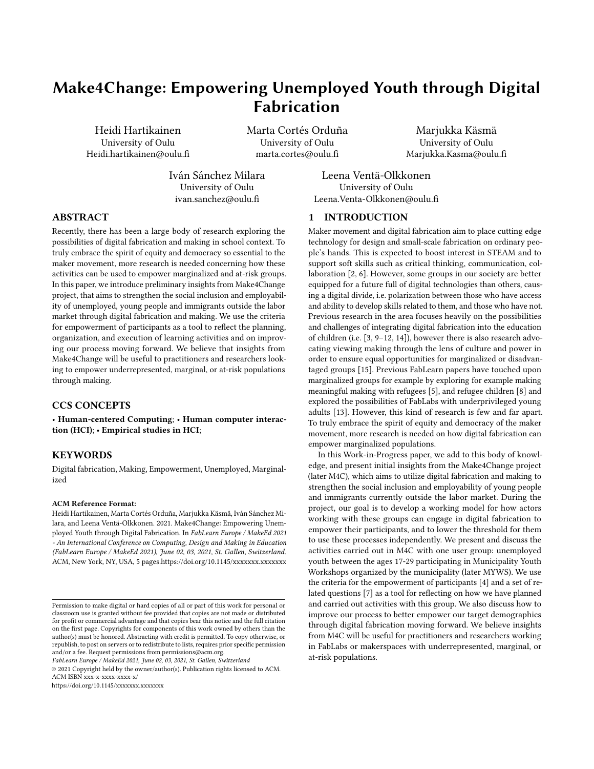# Make4Change: Empowering Unemployed Youth through Digital Fabrication

Heidi Hartikainen University of Oulu Heidi.hartikainen@oulu.fi Marta Cortés Orduña University of Oulu marta.cortes@oulu.fi

Marjukka Käsmä University of Oulu Marjukka.Kasma@oulu.fi

Iván Sánchez Milara University of Oulu ivan.sanchez@oulu.fi

Leena Ventä-Olkkonen University of Oulu Leena.Venta-Olkkonen@oulu.fi

## ABSTRACT

Recently, there has been a large body of research exploring the possibilities of digital fabrication and making in school context. To truly embrace the spirit of equity and democracy so essential to the maker movement, more research is needed concerning how these activities can be used to empower marginalized and at-risk groups. In this paper, we introduce preliminary insights from Make4Change project, that aims to strengthen the social inclusion and employability of unemployed, young people and immigrants outside the labor market through digital fabrication and making. We use the criteria for empowerment of participants as a tool to reflect the planning, organization, and execution of learning activities and on improving our process moving forward. We believe that insights from Make4Change will be useful to practitioners and researchers looking to empower underrepresented, marginal, or at-risk populations through making.

## CCS CONCEPTS

• Human-centered Computing; • Human computer interaction (HCI); • Empirical studies in HCI;

## **KEYWORDS**

Digital fabrication, Making, Empowerment, Unemployed, Marginalized

#### ACM Reference Format:

Heidi Hartikainen, Marta Cortés Orduña, Marjukka Käsmä, Iván Sánchez Milara, and Leena Ventä-Olkkonen. 2021. Make4Change: Empowering Unemployed Youth through Digital Fabrication. In FabLearn Europe / MakeEd 2021 - An International Conference on Computing, Design and Making in Education (FabLearn Europe / MakeEd 2021), June 02, 03, 2021, St. Gallen, Switzerland. ACM, New York, NY, USA, [5](#page-4-0) pages.[https://doi.org/10.1145/xxxxxxx.xxxxxxx](https://doi.org/10.1145/3466725.3466763)

FabLearn Europe / MakeEd 2021, June 02, 03, 2021, St. Gallen, Switzerland

© 2021 Copyright held by the owner/author(s). Publication rights licensed to ACM. ACM ISBN xxx-x-xxxx-xxxx-x/

https://doi.org/10.1145/xxxxxxxx.xxxxxxx

#### 1 INTRODUCTION

Maker movement and digital fabrication aim to place cutting edge technology for design and small-scale fabrication on ordinary people's hands. This is expected to boost interest in STEAM and to support soft skills such as critical thinking, communication, collaboration [\[2,](#page-3-0) [6\]](#page-3-1). However, some groups in our society are better equipped for a future full of digital technologies than others, causing a digital divide, i.e. polarization between those who have access and ability to develop skills related to them, and those who have not. Previous research in the area focuses heavily on the possibilities and challenges of integrating digital fabrication into the education of children (i.e. [\[3,](#page-3-2) [9–](#page-3-3)[12,](#page-3-4) [14\]](#page-4-1)), however there is also research advocating viewing making through the lens of culture and power in order to ensure equal opportunities for marginalized or disadvantaged groups [\[15\]](#page-4-2). Previous FabLearn papers have touched upon marginalized groups for example by exploring for example making meaningful making with refugees [\[5\]](#page-3-5), and refugee children [\[8\]](#page-3-6) and explored the possibilities of FabLabs with underprivileged young adults [\[13\]](#page-4-3). However, this kind of research is few and far apart. To truly embrace the spirit of equity and democracy of the maker movement, more research is needed on how digital fabrication can empower marginalized populations.

In this Work-in-Progress paper, we add to this body of knowledge, and present initial insights from the Make4Change project (later M4C), which aims to utilize digital fabrication and making to strengthen the social inclusion and employability of young people and immigrants currently outside the labor market. During the project, our goal is to develop a working model for how actors working with these groups can engage in digital fabrication to empower their participants, and to lower the threshold for them to use these processes independently. We present and discuss the activities carried out in M4C with one user group: unemployed youth between the ages 17-29 participating in Municipality Youth Workshops organized by the municipality (later MYWS). We use the criteria for the empowerment of participants [\[4\]](#page-3-7) and a set of related questions [\[7\]](#page-3-8) as a tool for reflecting on how we have planned and carried out activities with this group. We also discuss how to improve our process to better empower our target demographics through digital fabrication moving forward. We believe insights from M4C will be useful for practitioners and researchers working in FabLabs or makerspaces with underrepresented, marginal, or at-risk populations.

Permission to make digital or hard copies of all or part of this work for personal or classroom use is granted without fee provided that copies are not made or distributed for profit or commercial advantage and that copies bear this notice and the full citation on the first page. Copyrights for components of this work owned by others than the author(s) must be honored. Abstracting with credit is permitted. To copy otherwise, or republish, to post on servers or to redistribute to lists, requires prior specific permission and/or a fee. Request permissions from permissions@acm.org.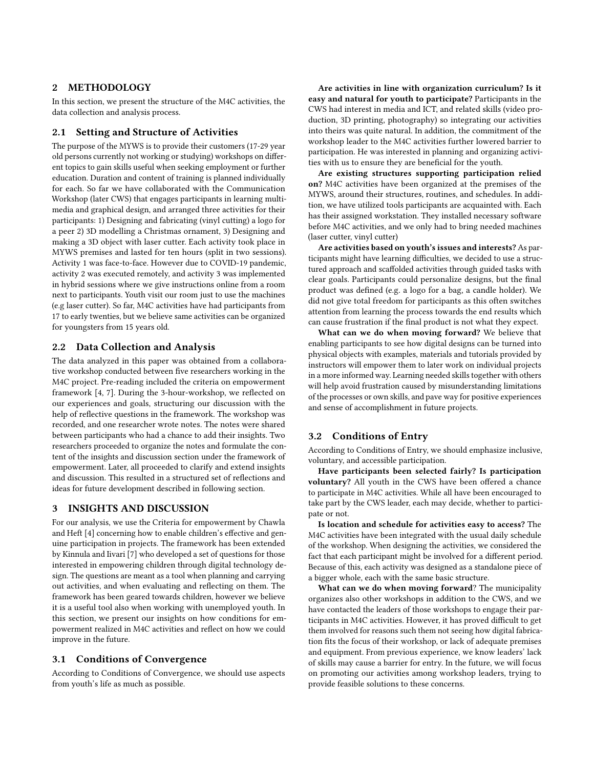## 2 METHODOLOGY

In this section, we present the structure of the M4C activities, the data collection and analysis process.

#### 2.1 Setting and Structure of Activities

The purpose of the MYWS is to provide their customers (17-29 year old persons currently not working or studying) workshops on different topics to gain skills useful when seeking employment or further education. Duration and content of training is planned individually for each. So far we have collaborated with the Communication Workshop (later CWS) that engages participants in learning multimedia and graphical design, and arranged three activities for their participants: 1) Designing and fabricating (vinyl cutting) a logo for a peer 2) 3D modelling a Christmas ornament, 3) Designing and making a 3D object with laser cutter. Each activity took place in MYWS premises and lasted for ten hours (split in two sessions). Activity 1 was face-to-face. However due to COVID-19 pandemic, activity 2 was executed remotely, and activity 3 was implemented in hybrid sessions where we give instructions online from a room next to participants. Youth visit our room just to use the machines (e.g laser cutter). So far, M4C activities have had participants from 17 to early twenties, but we believe same activities can be organized for youngsters from 15 years old.

## 2.2 Data Collection and Analysis

The data analyzed in this paper was obtained from a collaborative workshop conducted between five researchers working in the M4C project. Pre-reading included the criteria on empowerment framework [\[4,](#page-3-7) [7\]](#page-3-8). During the 3-hour-workshop, we reflected on our experiences and goals, structuring our discussion with the help of reflective questions in the framework. The workshop was recorded, and one researcher wrote notes. The notes were shared between participants who had a chance to add their insights. Two researchers proceeded to organize the notes and formulate the content of the insights and discussion section under the framework of empowerment. Later, all proceeded to clarify and extend insights and discussion. This resulted in a structured set of reflections and ideas for future development described in following section.

## 3 INSIGHTS AND DISCUSSION

For our analysis, we use the Criteria for empowerment by Chawla and Heft [\[4\]](#page-3-7) concerning how to enable children's effective and genuine participation in projects. The framework has been extended by Kinnula and Iivari [\[7\]](#page-3-8) who developed a set of questions for those interested in empowering children through digital technology design. The questions are meant as a tool when planning and carrying out activities, and when evaluating and reflecting on them. The framework has been geared towards children, however we believe it is a useful tool also when working with unemployed youth. In this section, we present our insights on how conditions for empowerment realized in M4C activities and reflect on how we could improve in the future.

#### 3.1 Conditions of Convergence

According to Conditions of Convergence, we should use aspects from youth's life as much as possible.

Are activities in line with organization curriculum? Is it easy and natural for youth to participate? Participants in the CWS had interest in media and ICT, and related skills (video production, 3D printing, photography) so integrating our activities into theirs was quite natural. In addition, the commitment of the workshop leader to the M4C activities further lowered barrier to participation. He was interested in planning and organizing activities with us to ensure they are beneficial for the youth.

Are existing structures supporting participation relied on? M4C activities have been organized at the premises of the MYWS, around their structures, routines, and schedules. In addition, we have utilized tools participants are acquainted with. Each has their assigned workstation. They installed necessary software before M4C activities, and we only had to bring needed machines (laser cutter, vinyl cutter)

Are activities based on youth's issues and interests? As participants might have learning difficulties, we decided to use a structured approach and scaffolded activities through guided tasks with clear goals. Participants could personalize designs, but the final product was defined (e.g. a logo for a bag, a candle holder). We did not give total freedom for participants as this often switches attention from learning the process towards the end results which can cause frustration if the final product is not what they expect.

What can we do when moving forward? We believe that enabling participants to see how digital designs can be turned into physical objects with examples, materials and tutorials provided by instructors will empower them to later work on individual projects in a more informed way. Learning needed skills together with others will help avoid frustration caused by misunderstanding limitations of the processes or own skills, and pave way for positive experiences and sense of accomplishment in future projects.

## 3.2 Conditions of Entry

According to Conditions of Entry, we should emphasize inclusive, voluntary, and accessible participation.

Have participants been selected fairly? Is participation voluntary? All youth in the CWS have been offered a chance to participate in M4C activities. While all have been encouraged to take part by the CWS leader, each may decide, whether to participate or not.

Is location and schedule for activities easy to access? The M4C activities have been integrated with the usual daily schedule of the workshop. When designing the activities, we considered the fact that each participant might be involved for a different period. Because of this, each activity was designed as a standalone piece of a bigger whole, each with the same basic structure.

What can we do when moving forward? The municipality organizes also other workshops in addition to the CWS, and we have contacted the leaders of those workshops to engage their participants in M4C activities. However, it has proved difficult to get them involved for reasons such them not seeing how digital fabrication fits the focus of their workshop, or lack of adequate premises and equipment. From previous experience, we know leaders' lack of skills may cause a barrier for entry. In the future, we will focus on promoting our activities among workshop leaders, trying to provide feasible solutions to these concerns.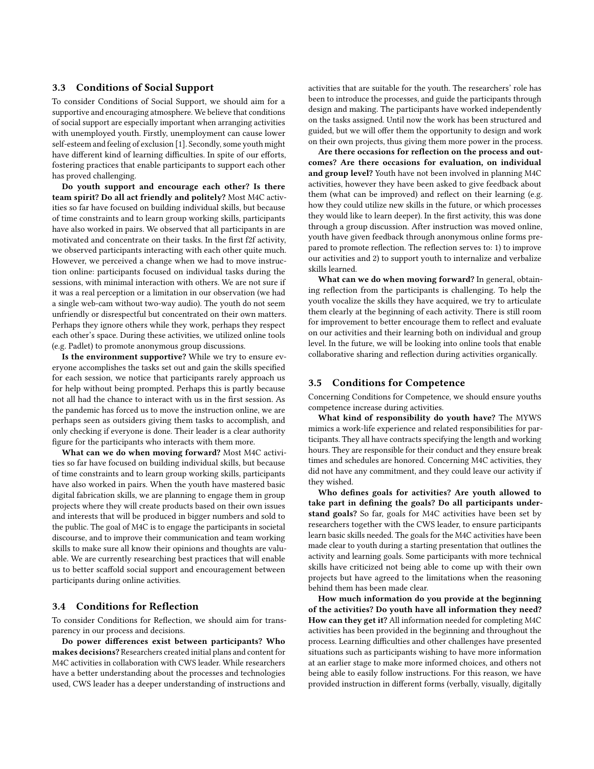#### 3.3 Conditions of Social Support

To consider Conditions of Social Support, we should aim for a supportive and encouraging atmosphere. We believe that conditions of social support are especially important when arranging activities with unemployed youth. Firstly, unemployment can cause lower self-esteem and feeling of exclusion [\[1\]](#page-3-9). Secondly, some youth might have different kind of learning difficulties. In spite of our efforts, fostering practices that enable participants to support each other has proved challenging.

Do youth support and encourage each other? Is there team spirit? Do all act friendly and politely? Most M4C activities so far have focused on building individual skills, but because of time constraints and to learn group working skills, participants have also worked in pairs. We observed that all participants in are motivated and concentrate on their tasks. In the first f2f activity, we observed participants interacting with each other quite much. However, we perceived a change when we had to move instruction online: participants focused on individual tasks during the sessions, with minimal interaction with others. We are not sure if it was a real perception or a limitation in our observation (we had a single web-cam without two-way audio). The youth do not seem unfriendly or disrespectful but concentrated on their own matters. Perhaps they ignore others while they work, perhaps they respect each other's space. During these activities, we utilized online tools (e.g. Padlet) to promote anonymous group discussions.

Is the environment supportive? While we try to ensure everyone accomplishes the tasks set out and gain the skills specified for each session, we notice that participants rarely approach us for help without being prompted. Perhaps this is partly because not all had the chance to interact with us in the first session. As the pandemic has forced us to move the instruction online, we are perhaps seen as outsiders giving them tasks to accomplish, and only checking if everyone is done. Their leader is a clear authority figure for the participants who interacts with them more.

What can we do when moving forward? Most M4C activities so far have focused on building individual skills, but because of time constraints and to learn group working skills, participants have also worked in pairs. When the youth have mastered basic digital fabrication skills, we are planning to engage them in group projects where they will create products based on their own issues and interests that will be produced in bigger numbers and sold to the public. The goal of M4C is to engage the participants in societal discourse, and to improve their communication and team working skills to make sure all know their opinions and thoughts are valuable. We are currently researching best practices that will enable us to better scaffold social support and encouragement between participants during online activities.

## 3.4 Conditions for Reflection

To consider Conditions for Reflection, we should aim for transparency in our process and decisions.

Do power differences exist between participants? Who makes decisions? Researchers created initial plans and content for M4C activities in collaboration with CWS leader. While researchers have a better understanding about the processes and technologies used, CWS leader has a deeper understanding of instructions and activities that are suitable for the youth. The researchers' role has been to introduce the processes, and guide the participants through design and making. The participants have worked independently on the tasks assigned. Until now the work has been structured and guided, but we will offer them the opportunity to design and work on their own projects, thus giving them more power in the process.

Are there occasions for reflection on the process and outcomes? Are there occasions for evaluation, on individual and group level? Youth have not been involved in planning M4C activities, however they have been asked to give feedback about them (what can be improved) and reflect on their learning (e.g. how they could utilize new skills in the future, or which processes they would like to learn deeper). In the first activity, this was done through a group discussion. After instruction was moved online, youth have given feedback through anonymous online forms prepared to promote reflection. The reflection serves to: 1) to improve our activities and 2) to support youth to internalize and verbalize skills learned.

What can we do when moving forward? In general, obtaining reflection from the participants is challenging. To help the youth vocalize the skills they have acquired, we try to articulate them clearly at the beginning of each activity. There is still room for improvement to better encourage them to reflect and evaluate on our activities and their learning both on individual and group level. In the future, we will be looking into online tools that enable collaborative sharing and reflection during activities organically.

#### 3.5 Conditions for Competence

Concerning Conditions for Competence, we should ensure youths competence increase during activities.

What kind of responsibility do youth have? The MYWS mimics a work-life experience and related responsibilities for participants. They all have contracts specifying the length and working hours. They are responsible for their conduct and they ensure break times and schedules are honored. Concerning M4C activities, they did not have any commitment, and they could leave our activity if they wished.

Who defines goals for activities? Are youth allowed to take part in defining the goals? Do all participants understand goals? So far, goals for M4C activities have been set by researchers together with the CWS leader, to ensure participants learn basic skills needed. The goals for the M4C activities have been made clear to youth during a starting presentation that outlines the activity and learning goals. Some participants with more technical skills have criticized not being able to come up with their own projects but have agreed to the limitations when the reasoning behind them has been made clear.

How much information do you provide at the beginning of the activities? Do youth have all information they need? How can they get it? All information needed for completing M4C activities has been provided in the beginning and throughout the process. Learning difficulties and other challenges have presented situations such as participants wishing to have more information at an earlier stage to make more informed choices, and others not being able to easily follow instructions. For this reason, we have provided instruction in different forms (verbally, visually, digitally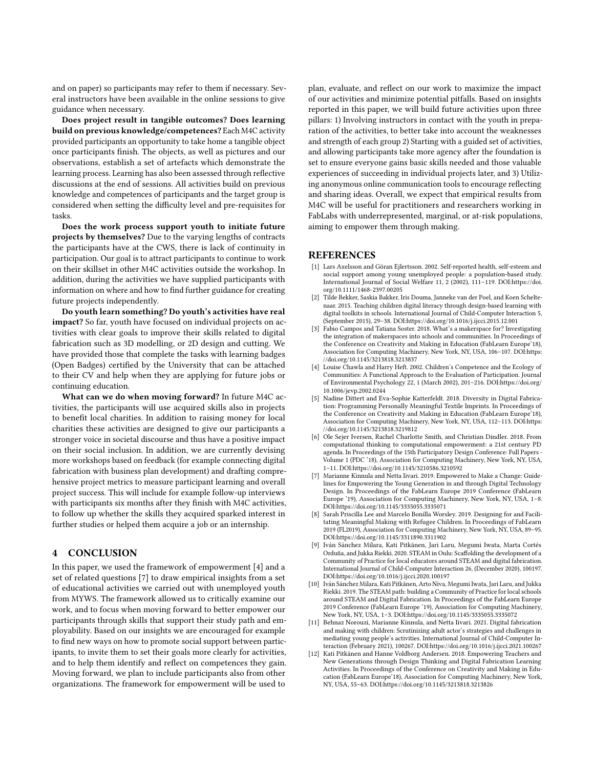and on paper) so participants may refer to them if necessary. Several instructors have been available in the online sessions to give guidance when necessary.

Does project result in tangible outcomes? Does learning build on previous knowledge/competences? Each M4C activity provided participants an opportunity to take home a tangible object once participants finish. The objects, as well as pictures and our observations, establish a set of artefacts which demonstrate the learning process. Learning has also been assessed through reflective discussions at the end of sessions. All activities build on previous knowledge and competences of participants and the target group is considered when setting the difficulty level and pre-requisites for tasks.

Does the work process support youth to initiate future projects by themselves? Due to the varying lengths of contracts the participants have at the CWS, there is lack of continuity in participation. Our goal is to attract participants to continue to work on their skillset in other M4C activities outside the workshop. In addition, during the activities we have supplied participants with information on where and how to find further guidance for creating future projects independently.

Do youth learn something? Do youth's activities have real impact? So far, youth have focused on individual projects on activities with clear goals to improve their skills related to digital fabrication such as 3D modelling, or 2D design and cutting. We have provided those that complete the tasks with learning badges (Open Badges) certified by the University that can be attached to their CV and help when they are applying for future jobs or continuing education.

What can we do when moving forward? In future M4C activities, the participants will use acquired skills also in projects to benefit local charities. In addition to raising money for local charities these activities are designed to give our participants a stronger voice in societal discourse and thus have a positive impact on their social inclusion. In addition, we are currently devising more workshops based on feedback (for example connecting digital fabrication with business plan development) and drafting comprehensive project metrics to measure participant learning and overall project success. This will include for example follow-up interviews with participants six months after they finish with M4C activities, to follow up whether the skills they acquired sparked interest in further studies or helped them acquire a job or an internship.

#### 4 CONCLUSION

In this paper, we used the framework of empowerment [\[4\]](#page-3-7) and a set of related questions [\[7\]](#page-3-8) to draw empirical insights from a set of educational activities we carried out with unemployed youth from MYWS. The framework allowed us to critically examine our work, and to focus when moving forward to better empower our participants through skills that support their study path and employability. Based on our insights we are encouraged for example to find new ways on how to promote social support between participants, to invite them to set their goals more clearly for activities, and to help them identify and reflect on competences they gain. Moving forward, we plan to include participants also from other organizations. The framework for empowerment will be used to

plan, evaluate, and reflect on our work to maximize the impact of our activities and minimize potential pitfalls. Based on insights reported in this paper, we will build future activities upon three pillars: 1) Involving instructors in contact with the youth in preparation of the activities, to better take into account the weaknesses and strength of each group 2) Starting with a guided set of activities, and allowing participants take more agency after the foundation is set to ensure everyone gains basic skills needed and those valuable experiences of succeeding in individual projects later, and 3) Utilizing anonymous online communication tools to encourage reflecting and sharing ideas. Overall, we expect that empirical results from M4C will be useful for practitioners and researchers working in FabLabs with underrepresented, marginal, or at-risk populations, aiming to empower them through making.

#### **REFERENCES**

- <span id="page-3-9"></span>[1] Lars Axelsson and Göran Ejlertsson. 2002. Self-reported health, self-esteem and social support among young unemployed people: a population-based study. International Journal of Social Welfare 11, 2 (2002), 111–119. DOI[:https://doi.](https://doi.org/10.1111/1468-2397.00205) [org/10.1111/1468-2397.00205](https://doi.org/10.1111/1468-2397.00205)
- <span id="page-3-0"></span>[2] Tilde Bekker, Saskia Bakker, Iris Douma, Janneke van der Poel, and Koen Scheltenaar. 2015. Teaching children digital literacy through design-based learning with digital toolkits in schools. International Journal of Child-Computer Interaction 5, (September 2015), 29–38. DOI[:https://doi.org/10.1016/j.ijcci.2015.12.001](https://doi.org/10.1016/j.ijcci.2015.12.001)
- <span id="page-3-2"></span>Fabio Campos and Tatiana Soster. 2018. What's a makerspace for? Investigating the integration of makerspaces into schools and communities. In Proceedings of the Conference on Creativity and Making in Education (FabLearn Europe'18), Association for Computing Machinery, New York, NY, USA, 106–107. DOI[:https:](https://doi.org/10.1145/3213818.3213837) [//doi.org/10.1145/3213818.3213837](https://doi.org/10.1145/3213818.3213837)
- <span id="page-3-7"></span>[4] Louise Chawla and Harry Heft. 2002. Children's Competence and the Ecology of Communities: A Functional Approach to the Evaluation of Participation. Journal of Environmental Psychology 22, 1 (March 2002), 201–216. DOI[:https://doi.org/](https://doi.org/10.1006/jevp.2002.0244) [10.1006/jevp.2002.0244](https://doi.org/10.1006/jevp.2002.0244)
- <span id="page-3-5"></span>[5] Nadine Dittert and Eva-Sophie Katterfeldt. 2018. Diversity in Digital Fabrication: Programming Personally Meaningful Textile Imprints. In Proceedings of the Conference on Creativity and Making in Education (FabLearn Europe'18), Association for Computing Machinery, New York, NY, USA, 112–113. DOI[:https:](https://doi.org/10.1145/3213818.3219812) [//doi.org/10.1145/3213818.3219812](https://doi.org/10.1145/3213818.3219812)
- <span id="page-3-1"></span>[6] Ole Sejer Iversen, Rachel Charlotte Smith, and Christian Dindler. 2018. From computational thinking to computational empowerment: a 21st century PD agenda. In Proceedings of the 15th Participatory Design Conference: Full Papers - Volume 1 (PDC '18), Association for Computing Machinery, New York, NY, USA, 1–11. DOI[:https://doi.org/10.1145/3210586.3210592](https://doi.org/10.1145/3210586.3210592)
- <span id="page-3-8"></span>[7] Marianne Kinnula and Netta Iivari. 2019. Empowered to Make a Change: Guidelines for Empowering the Young Generation in and through Digital Technology Design. In Proceedings of the FabLearn Europe 2019 Conference (FabLearn Europe '19), Association for Computing Machinery, New York, NY, USA, 1–8. DOI[:https://doi.org/10.1145/3335055.3335071](https://doi.org/10.1145/3335055.3335071)
- <span id="page-3-6"></span>[8] Sarah Priscilla Lee and Marcelo Bonilla Worsley. 2019. Designing for and Facilitating Meaningful Making with Refugee Children. In Proceedings of FabLearn 2019 (FL2019), Association for Computing Machinery, New York, NY, USA, 89–95. DOI[:https://doi.org/10.1145/3311890.3311902](https://doi.org/10.1145/3311890.3311902)
- <span id="page-3-3"></span>[9] Iván Sánchez Milara, Kati Pitkänen, Jari Laru, Megumi Iwata, Marta Cortés Orduña, and Jukka Riekki. 2020. STEAM in Oulu: Scaffolding the development of a Community of Practice for local educators around STEAM and digital fabrication. International Journal of Child-Computer Interaction 26, (December 2020), 100197. DOI[:https://doi.org/10.1016/j.ijcci.2020.100197](https://doi.org/10.1016/j.ijcci.2020.100197)
- [10] Iván Sánchez Milara, Kati Pitkänen, Arto Niva, Megumi Iwata, Jari Laru, and Jukka Riekki. 2019. The STEAM path: building a Community of Practice for local schools around STEAM and Digital Fabrication. In Proceedings of the FabLearn Europe 2019 Conference (FabLearn Europe '19), Association for Computing Machinery, New York, NY, USA, 1–3. DOI[:https://doi.org/10.1145/3335055.3335072](https://doi.org/10.1145/3335055.3335072)
- [11] Behnaz Norouzi, Marianne Kinnula, and Netta Iivari. 2021. Digital fabrication and making with children: Scrutinizing adult actor's strategies and challenges in mediating young people's activities. International Journal of Child-Computer Interaction (February 2021), 100267. DOI[:https://doi.org/10.1016/j.ijcci.2021.100267](https://doi.org/10.1016/j.ijcci.2021.100267)
- <span id="page-3-4"></span>[12] Kati Pitkänen and Hanne Voldborg Andersen. 2018. Empowering Teachers and New Generations through Design Thinking and Digital Fabrication Learning Activities. In Proceedings of the Conference on Creativity and Making in Education (FabLearn Europe'18), Association for Computing Machinery, New York, NY, USA, 55–63. DOI[:https://doi.org/10.1145/3213818.3213826](https://doi.org/10.1145/3213818.3213826)